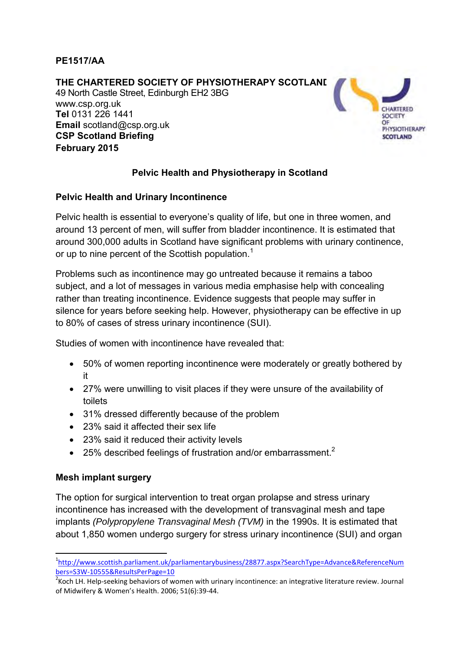### **PE1517/AA**

#### **THE CHARTERED SOCIETY OF PHYSIOTHERAPY SCOTLAND**

49 North Castle Street, Edinburgh EH2 3BG www.csp.org.uk **Tel** 0131 226 1441 **Email** scotland@csp.org.uk **CSP Scotland Briefing February 2015**



## **Pelvic Health and Physiotherapy in Scotland**

#### **Pelvic Health and Urinary Incontinence**

Pelvic health is essential to everyone's quality of life, but one in three women, and around 13 percent of men, will suffer from bladder incontinence. It is estimated that around 300,000 adults in Scotland have significant problems with urinary continence, or up to nine percent of the Scottish population.<sup>1</sup>

Problems such as incontinence may go untreated because it remains a taboo subject, and a lot of messages in various media emphasise help with concealing rather than treating incontinence. Evidence suggests that people may suffer in silence for years before seeking help. However, physiotherapy can be effective in up to 80% of cases of stress urinary incontinence (SUI).

Studies of women with incontinence have revealed that:

- 50% of women reporting incontinence were moderately or greatly bothered by it
- 27% were unwilling to visit places if they were unsure of the availability of toilets
- 31% dressed differently because of the problem
- 23% said it affected their sex life
- 23% said it reduced their activity levels
- $\bullet$  25% described feelings of frustration and/or embarrassment.<sup>2</sup>

### **Mesh implant surgery**

**.** 

The option for surgical intervention to treat organ prolapse and stress urinary incontinence has increased with the development of transvaginal mesh and tape implants *(Polypropylene Transvaginal Mesh (TVM)* in the 1990s. It is estimated that about 1,850 women undergo surgery for stress urinary incontinence (SUI) and organ

<sup>1</sup> [http://www.scottish.parliament.uk/parliamentarybusiness/28877.aspx?SearchType=Advance&ReferenceNum](http://www.scottish.parliament.uk/parliamentarybusiness/28877.aspx?SearchType=Advance&ReferenceNumbers=S3W-10555&ResultsPerPage=10) [bers=S3W-10555&ResultsPerPage=10](http://www.scottish.parliament.uk/parliamentarybusiness/28877.aspx?SearchType=Advance&ReferenceNumbers=S3W-10555&ResultsPerPage=10)

<sup>&</sup>lt;sup>2</sup> Koch LH. Help-seeking behaviors of women with urinary incontinence: an integrative literature review. Journal of Midwifery & Women's Health. 2006; 51(6):39-44.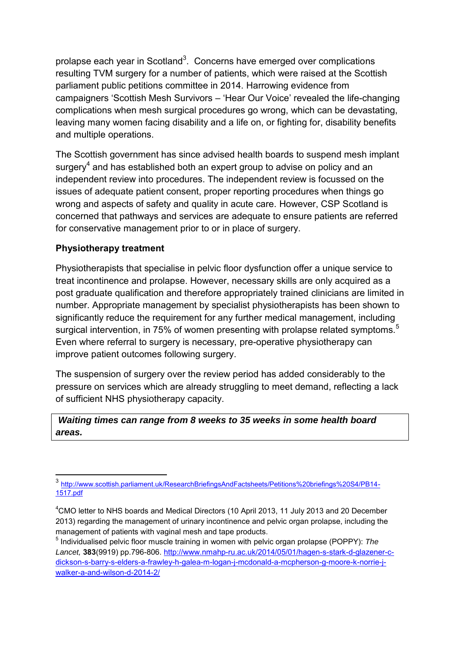prolapse each year in Scotland<sup>3</sup>. Concerns have emerged over complications resulting TVM surgery for a number of patients, which were raised at the Scottish parliament public petitions committee in 2014. Harrowing evidence from campaigners 'Scottish Mesh Survivors – 'Hear Our Voice' revealed the life-changing complications when mesh surgical procedures go wrong, which can be devastating, leaving many women facing disability and a life on, or fighting for, disability benefits and multiple operations.

The Scottish government has since advised health boards to suspend mesh implant surgery<sup>4</sup> and has established both an expert group to advise on policy and an independent review into procedures. The independent review is focussed on the issues of adequate patient consent, proper reporting procedures when things go wrong and aspects of safety and quality in acute care. However, CSP Scotland is concerned that pathways and services are adequate to ensure patients are referred for conservative management prior to or in place of surgery.

### **Physiotherapy treatment**

**.** 

Physiotherapists that specialise in pelvic floor dysfunction offer a unique service to treat incontinence and prolapse. However, necessary skills are only acquired as a post graduate qualification and therefore appropriately trained clinicians are limited in number. Appropriate management by specialist physiotherapists has been shown to significantly reduce the requirement for any further medical management, including surgical intervention, in 75% of women presenting with prolapse related symptoms.<sup>5</sup> Even where referral to surgery is necessary, pre-operative physiotherapy can improve patient outcomes following surgery.

The suspension of surgery over the review period has added considerably to the pressure on services which are already struggling to meet demand, reflecting a lack of sufficient NHS physiotherapy capacity.

### *Waiting times can range from 8 weeks to 35 weeks in some health board areas.*

<sup>&</sup>lt;sup>3</sup> [http://www.scottish.parliament.uk/ResearchBriefingsAndFactsheets/Petitions%20briefings%20S4/PB14-](http://www.scottish.parliament.uk/ResearchBriefingsAndFactsheets/Petitions%20briefings%20S4/PB14-1517.pdf) [1517.pdf](http://www.scottish.parliament.uk/ResearchBriefingsAndFactsheets/Petitions%20briefings%20S4/PB14-1517.pdf)

<sup>4</sup>CMO letter to NHS boards and Medical Directors (10 April 2013, 11 July 2013 and 20 December 2013) regarding the management of urinary incontinence and pelvic organ prolapse, including the management of patients with vaginal mesh and tape products.

<sup>5</sup> Individualised pelvic floor muscle training in women with pelvic organ prolapse (POPPY): *The Lancet,* **383**(9919) pp.796-806. [http://www.nmahp-ru.ac.uk/2014/05/01/hagen-s-stark-d-glazener-c](http://www.nmahp-ru.ac.uk/2014/05/01/hagen-s-stark-d-glazener-c-dickson-s-barry-s-elders-a-frawley-h-galea-m-logan-j-mcdonald-a-mcpherson-g-moore-k-norrie-j-walker-a-and-wilson-d-2014-2/)[dickson-s-barry-s-elders-a-frawley-h-galea-m-logan-j-mcdonald-a-mcpherson-g-moore-k-norrie-j](http://www.nmahp-ru.ac.uk/2014/05/01/hagen-s-stark-d-glazener-c-dickson-s-barry-s-elders-a-frawley-h-galea-m-logan-j-mcdonald-a-mcpherson-g-moore-k-norrie-j-walker-a-and-wilson-d-2014-2/)[walker-a-and-wilson-d-2014-2/](http://www.nmahp-ru.ac.uk/2014/05/01/hagen-s-stark-d-glazener-c-dickson-s-barry-s-elders-a-frawley-h-galea-m-logan-j-mcdonald-a-mcpherson-g-moore-k-norrie-j-walker-a-and-wilson-d-2014-2/)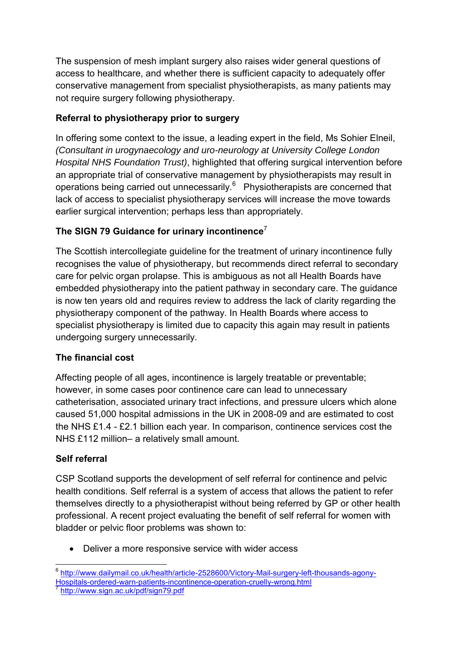The suspension of mesh implant surgery also raises wider general questions of access to healthcare, and whether there is sufficient capacity to adequately offer conservative management from specialist physiotherapists, as many patients may not require surgery following physiotherapy.

# **Referral to physiotherapy prior to surgery**

In offering some context to the issue, a leading expert in the field, Ms Sohier Elneil, *(Consultant in urogynaecology and uro-neurology at University College London Hospital NHS Foundation Trust)*, highlighted that offering surgical intervention before an appropriate trial of conservative management by physiotherapists may result in operations being carried out unnecessarily.<sup>6</sup> Physiotherapists are concerned that lack of access to specialist physiotherapy services will increase the move towards earlier surgical intervention; perhaps less than appropriately.

# **The SIGN 79 Guidance for urinary incontinence**<sup>7</sup>

The Scottish intercollegiate guideline for the treatment of urinary incontinence fully recognises the value of physiotherapy, but recommends direct referral to secondary care for pelvic organ prolapse. This is ambiguous as not all Health Boards have embedded physiotherapy into the patient pathway in secondary care. The guidance is now ten years old and requires review to address the lack of clarity regarding the physiotherapy component of the pathway. In Health Boards where access to specialist physiotherapy is limited due to capacity this again may result in patients undergoing surgery unnecessarily.

## **The financial cost**

Affecting people of all ages, incontinence is largely treatable or preventable; however, in some cases poor continence care can lead to unnecessary catheterisation, associated urinary tract infections, and pressure ulcers which alone caused 51,000 hospital admissions in the UK in 2008-09 and are estimated to cost the NHS £1.4 - £2.1 billion each year. In comparison, continence services cost the NHS £112 million– a relatively small amount.

## **Self referral**

CSP Scotland supports the development of self referral for continence and pelvic health conditions. Self referral is a system of access that allows the patient to refer themselves directly to a physiotherapist without being referred by GP or other health professional. A recent project evaluating the benefit of self referral for women with bladder or pelvic floor problems was shown to:

- Deliver a more responsive service with wider access
- 6 [http://www.dailymail.co.uk/health/article-2528600/Victory-Mail-surgery-left-thousands-agony-](http://www.dailymail.co.uk/health/article-2528600/Victory-Mail-surgery-left-thousands-agony-Hospitals-ordered-warn-patients-incontinence-operation-cruelly-wrong.html)[Hospitals-ordered-warn-patients-incontinence-operation-cruelly-wrong.html](http://www.dailymail.co.uk/health/article-2528600/Victory-Mail-surgery-left-thousands-agony-Hospitals-ordered-warn-patients-incontinence-operation-cruelly-wrong.html) 7

<http://www.sign.ac.uk/pdf/sign79.pdf>